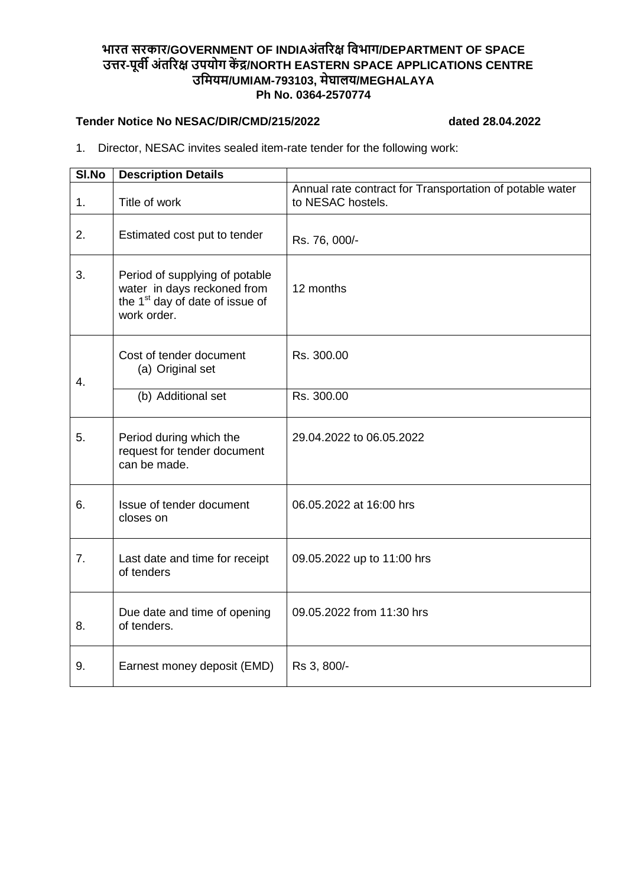## **भारत सरकार/GOVERNMENT OF INDIAअंतररक्ष विभाग/DEPARTMENT OF SPACE उत्तर-पूिी अंतररक्ष उपयोग कें द्र/NORTH EASTERN SPACE APPLICATIONS CENTRE उवियि/UMIAM-793103, िेघालय/MEGHALAYA Ph No. 0364-2570774**

## **Tender Notice No NESAC/DIR/CMD/215/2022 dated 28.04.2022**

1. Director, NESAC invites sealed item-rate tender for the following work:

| SI.No          | <b>Description Details</b>                                                                                                  |                                                                               |  |
|----------------|-----------------------------------------------------------------------------------------------------------------------------|-------------------------------------------------------------------------------|--|
| 1.             | Title of work                                                                                                               | Annual rate contract for Transportation of potable water<br>to NESAC hostels. |  |
| 2.             | Estimated cost put to tender                                                                                                | Rs. 76, 000/-                                                                 |  |
| 3.             | Period of supplying of potable<br>water in days reckoned from<br>the 1 <sup>st</sup> day of date of issue of<br>work order. | 12 months                                                                     |  |
| 4.             | Cost of tender document<br>(a) Original set                                                                                 | Rs. 300.00                                                                    |  |
|                | (b) Additional set                                                                                                          | Rs. 300.00                                                                    |  |
| 5.             | Period during which the<br>request for tender document<br>can be made.                                                      | 29.04.2022 to 06.05.2022                                                      |  |
| 6.             | Issue of tender document<br>closes on                                                                                       | 06.05.2022 at 16:00 hrs                                                       |  |
| 7 <sub>1</sub> | Last date and time for receipt<br>of tenders                                                                                | 09.05.2022 up to 11:00 hrs                                                    |  |
| 8.             | Due date and time of opening<br>of tenders.                                                                                 | 09.05.2022 from 11:30 hrs                                                     |  |
| 9.             | Earnest money deposit (EMD)                                                                                                 | Rs 3, 800/-                                                                   |  |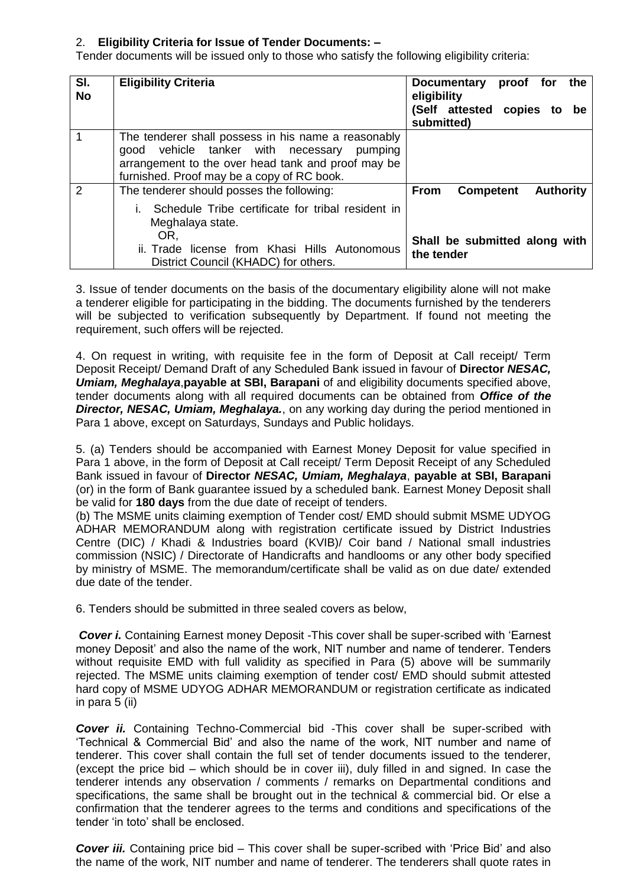## 2. **Eligibility Criteria for Issue of Tender Documents: –**

Tender documents will be issued only to those who satisfy the following eligibility criteria:

| SI.<br><b>No</b> | <b>Eligibility Criteria</b>                                                                                                                                                                                        | <b>Documentary</b><br>the<br>proof for<br>eligibility<br>(Self attested copies to be<br>submitted) |
|------------------|--------------------------------------------------------------------------------------------------------------------------------------------------------------------------------------------------------------------|----------------------------------------------------------------------------------------------------|
|                  | The tenderer shall possess in his name a reasonably<br>vehicle tanker with necessary<br>pumping<br>aood<br>arrangement to the over head tank and proof may be<br>furnished. Proof may be a copy of RC book.        |                                                                                                    |
| 2                | The tenderer should posses the following:<br>Schedule Tribe certificate for tribal resident in<br>Meghalaya state.<br>OR.<br>ii. Trade license from Khasi Hills Autonomous<br>District Council (KHADC) for others. | <b>Authority</b><br><b>Competent</b><br><b>From</b><br>Shall be submitted along with<br>the tender |

3. Issue of tender documents on the basis of the documentary eligibility alone will not make a tenderer eligible for participating in the bidding. The documents furnished by the tenderers will be subjected to verification subsequently by Department. If found not meeting the requirement, such offers will be rejected.

4. On request in writing, with requisite fee in the form of Deposit at Call receipt/ Term Deposit Receipt/ Demand Draft of any Scheduled Bank issued in favour of **Director** *NESAC, Umiam, Meghalaya*,**payable at SBI, Barapani** of and eligibility documents specified above, tender documents along with all required documents can be obtained from *Office of the Director, NESAC, Umiam, Meghalaya.*, on any working day during the period mentioned in Para 1 above, except on Saturdays, Sundays and Public holidays.

5. (a) Tenders should be accompanied with Earnest Money Deposit for value specified in Para 1 above, in the form of Deposit at Call receipt/ Term Deposit Receipt of any Scheduled Bank issued in favour of **Director** *NESAC, Umiam, Meghalaya*, **payable at SBI, Barapani** (or) in the form of Bank guarantee issued by a scheduled bank. Earnest Money Deposit shall be valid for **180 days** from the due date of receipt of tenders.

(b) The MSME units claiming exemption of Tender cost/ EMD should submit MSME UDYOG ADHAR MEMORANDUM along with registration certificate issued by District Industries Centre (DIC) / Khadi & Industries board (KVIB)/ Coir band / National small industries commission (NSIC) / Directorate of Handicrafts and handlooms or any other body specified by ministry of MSME. The memorandum/certificate shall be valid as on due date/ extended due date of the tender.

6. Tenders should be submitted in three sealed covers as below,

*Cover i.* Containing Earnest money Deposit -This cover shall be super-scribed with 'Earnest money Deposit' and also the name of the work, NIT number and name of tenderer. Tenders without requisite EMD with full validity as specified in Para (5) above will be summarily rejected. The MSME units claiming exemption of tender cost/ EMD should submit attested hard copy of MSME UDYOG ADHAR MEMORANDUM or registration certificate as indicated in para 5 (ii)

*Cover ii.* Containing Techno-Commercial bid -This cover shall be super-scribed with 'Technical & Commercial Bid' and also the name of the work, NIT number and name of tenderer. This cover shall contain the full set of tender documents issued to the tenderer, (except the price bid – which should be in cover iii), duly filled in and signed. In case the tenderer intends any observation / comments / remarks on Departmental conditions and specifications, the same shall be brought out in the technical & commercial bid. Or else a confirmation that the tenderer agrees to the terms and conditions and specifications of the tender 'in toto' shall be enclosed.

*Cover iii.* Containing price bid – This cover shall be super-scribed with 'Price Bid' and also the name of the work, NIT number and name of tenderer. The tenderers shall quote rates in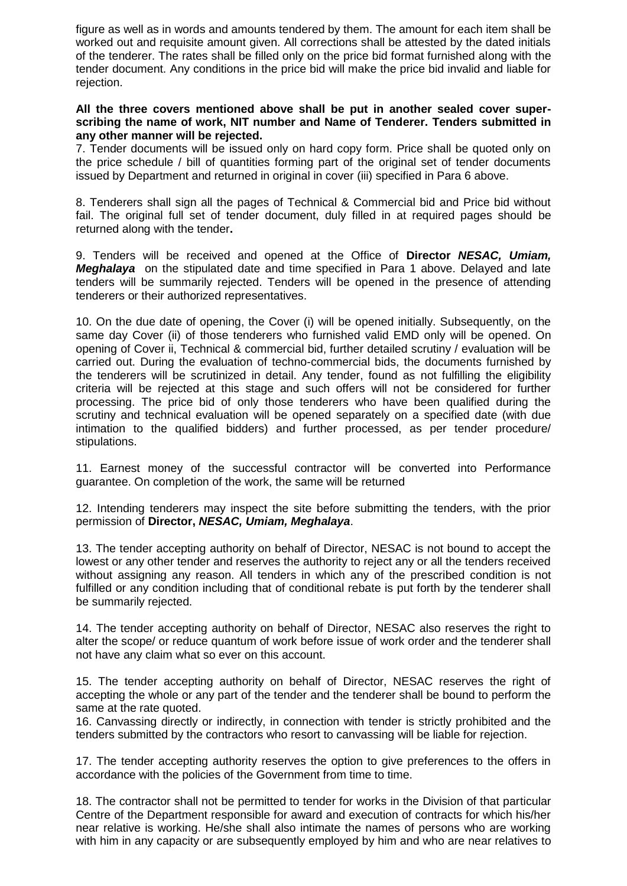figure as well as in words and amounts tendered by them. The amount for each item shall be worked out and requisite amount given. All corrections shall be attested by the dated initials of the tenderer. The rates shall be filled only on the price bid format furnished along with the tender document. Any conditions in the price bid will make the price bid invalid and liable for rejection.

## **All the three covers mentioned above shall be put in another sealed cover superscribing the name of work, NIT number and Name of Tenderer. Tenders submitted in any other manner will be rejected.**

7. Tender documents will be issued only on hard copy form. Price shall be quoted only on the price schedule / bill of quantities forming part of the original set of tender documents issued by Department and returned in original in cover (iii) specified in Para 6 above.

8. Tenderers shall sign all the pages of Technical & Commercial bid and Price bid without fail. The original full set of tender document, duly filled in at required pages should be returned along with the tender**.**

9. Tenders will be received and opened at the Office of **Director** *NESAC, Umiam, Meghalaya* on the stipulated date and time specified in Para 1 above. Delayed and late tenders will be summarily rejected. Tenders will be opened in the presence of attending tenderers or their authorized representatives.

10. On the due date of opening, the Cover (i) will be opened initially. Subsequently, on the same day Cover (ii) of those tenderers who furnished valid EMD only will be opened. On opening of Cover ii, Technical & commercial bid, further detailed scrutiny / evaluation will be carried out. During the evaluation of techno-commercial bids, the documents furnished by the tenderers will be scrutinized in detail. Any tender, found as not fulfilling the eligibility criteria will be rejected at this stage and such offers will not be considered for further processing. The price bid of only those tenderers who have been qualified during the scrutiny and technical evaluation will be opened separately on a specified date (with due intimation to the qualified bidders) and further processed, as per tender procedure/ stipulations.

11. Earnest money of the successful contractor will be converted into Performance guarantee. On completion of the work, the same will be returned

12. Intending tenderers may inspect the site before submitting the tenders, with the prior permission of **Director,** *NESAC, Umiam, Meghalaya*.

13. The tender accepting authority on behalf of Director, NESAC is not bound to accept the lowest or any other tender and reserves the authority to reject any or all the tenders received without assigning any reason. All tenders in which any of the prescribed condition is not fulfilled or any condition including that of conditional rebate is put forth by the tenderer shall be summarily rejected.

14. The tender accepting authority on behalf of Director, NESAC also reserves the right to alter the scope/ or reduce quantum of work before issue of work order and the tenderer shall not have any claim what so ever on this account.

15. The tender accepting authority on behalf of Director, NESAC reserves the right of accepting the whole or any part of the tender and the tenderer shall be bound to perform the same at the rate quoted.

16. Canvassing directly or indirectly, in connection with tender is strictly prohibited and the tenders submitted by the contractors who resort to canvassing will be liable for rejection.

17. The tender accepting authority reserves the option to give preferences to the offers in accordance with the policies of the Government from time to time.

18. The contractor shall not be permitted to tender for works in the Division of that particular Centre of the Department responsible for award and execution of contracts for which his/her near relative is working. He/she shall also intimate the names of persons who are working with him in any capacity or are subsequently employed by him and who are near relatives to